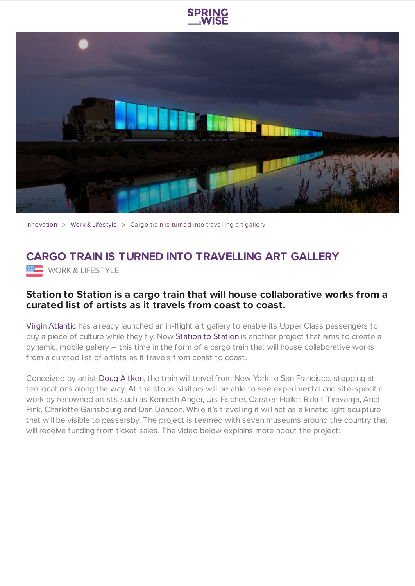



[Innovation](https://www.springwise.com/search?type=innovation)  $>$  [Work](https://www.springwise.com/search?type=innovation§or=work-lifestyle) & Lifestyle  $>$  Cargo train is turned into travelling art gallery

## **CARGO TRAIN IS TURNED INTO TRAVELLING ART GALLERY WORK & LIFESTYLE**

## **Station to Station is a cargo train that will house collaborative works from a curated list of artists as it travels from coast to coast.**

Virgin [Atlantic](https://www.springwise.com/airline-launches-in-flight-art-gallery-upper-class-passengers/) has already launched an in-flight art gallery to enable its Upper Class passengers to buy a piece of culture while they fly. Now [Station](http://stationtostation.com/) to Station is another project that aims to create a dynamic, mobile gallery – this time in the form of a cargo train that will house collaborative works from a curated list of artists as it travels from coast to coast.

Conceived by artist Doug [Aitken](http://www.dougaitkenworkshop.com/), the train will travel from New York to San Francisco, stopping at ten locations along the way. At the stops, visitors will be able to see experimental and site-specific work by renowned artists such as Kenneth Anger, Urs Fischer, Carsten Höller, Rirkrit Tiravanija, Ariel Pink, Charlotte Gainsbourg and Dan Deacon. While it's travelling it will act as a kinetic light sculpture that will be visible to passersby. The project is teamed with seven museums around the country that will receive funding from ticket sales. The video below explains more about the project: